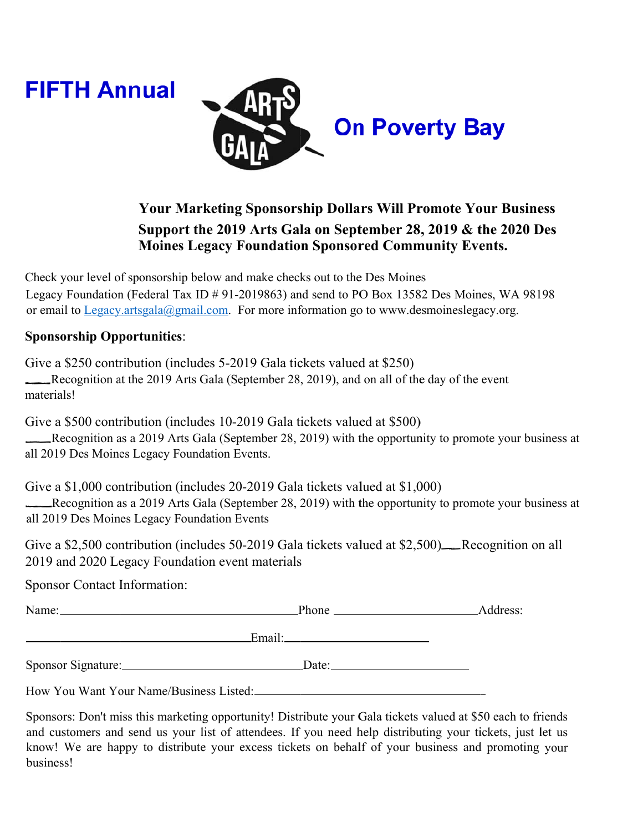



## **Your Marketing Sponsorship Dollars Will Promote Your Business** Support the 2019 Arts Gala on September 28, 2019 & the 2020 Des **Moines Legacy Foundation Sponsored Community Events.**

Check your level of sponsorship below and make checks out to the Des Moines Legacy Foundation (Federal Tax ID # 91-2019863) and send to PO Box 13582 Des Moines, WA 98198 or email to Legacy.artsgala@gmail.com. For more information go to www.desmoineslegacy.org.

## **Sponsorship Opportunities:**

Give a \$250 contribution (includes 5-2019 Gala tickets valued at \$250) Recognition at the 2019 Arts Gala (September 28, 2019), and on all of the day of the event materials!

Give a \$500 contribution (includes 10-2019 Gala tickets valued at \$500) Recognition as a 2019 Arts Gala (September 28, 2019) with the opportunity to promote your business at all 2019 Des Moines Legacy Foundation Events.

Give a \$1,000 contribution (includes 20-2019 Gala tickets valued at \$1,000)

Recognition as a 2019 Arts Gala (September 28, 2019) with the opportunity to promote your business at all 2019 Des Moines Legacy Foundation Events

Give a \$2,500 contribution (includes 50-2019 Gala tickets valued at \$2,500) Recognition on all 2019 and 2020 Legacy Foundation event materials

**Sponsor Contact Information:** 

Email:

Sponsor Signature: Date: Date:

How You Want Your Name/Business Listed:

Sponsors: Don't miss this marketing opportunity! Distribute your Gala tickets valued at \$50 each to friends and customers and send us your list of attendees. If you need help distributing your tickets, just let us know! We are happy to distribute your excess tickets on behalf of your business and promoting your business!